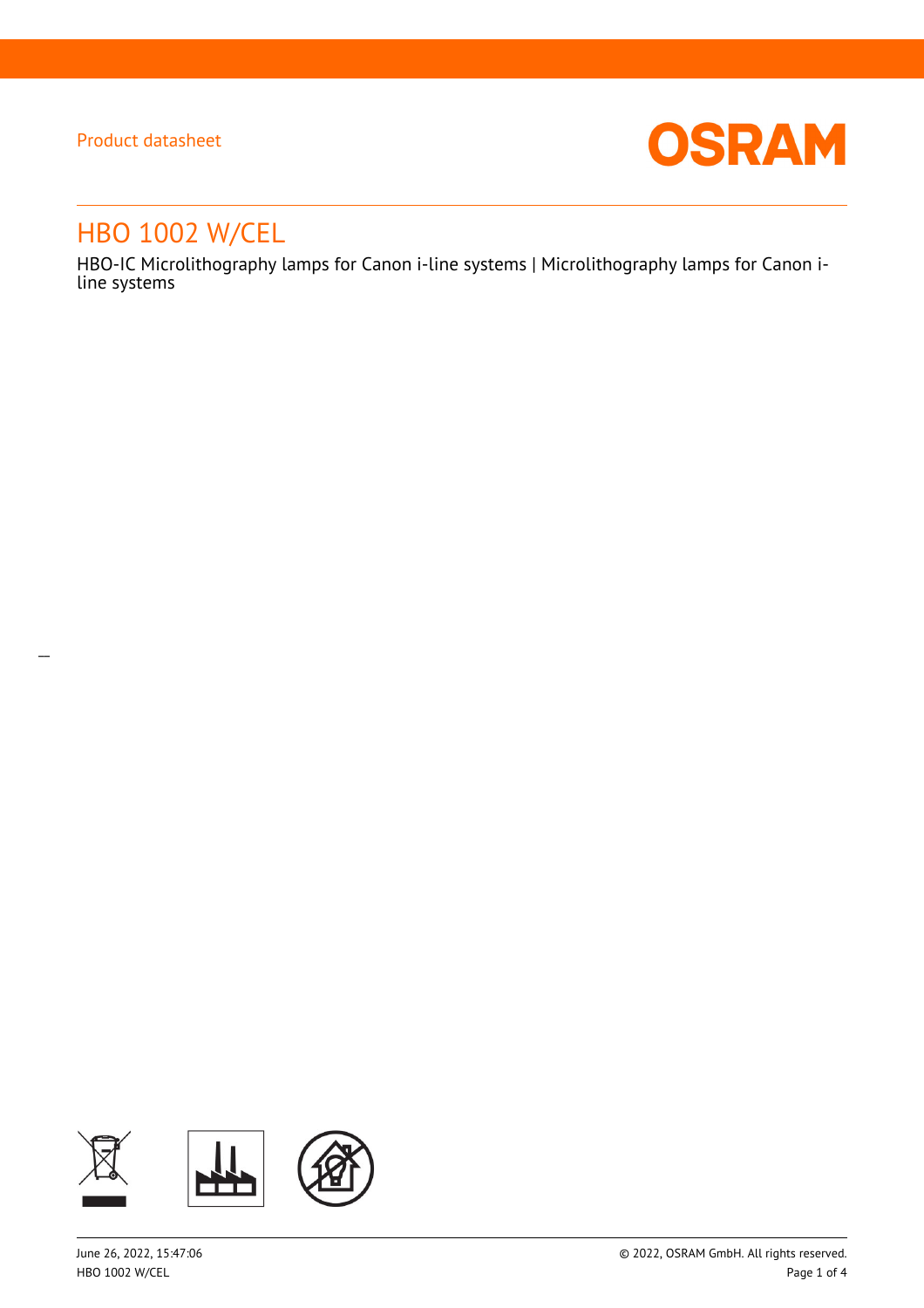$\overline{a}$ 



# HBO 1002 W/CEL

HBO-IC Microlithography lamps for Canon i-line systems | Microlithography lamps for Canon iline systems

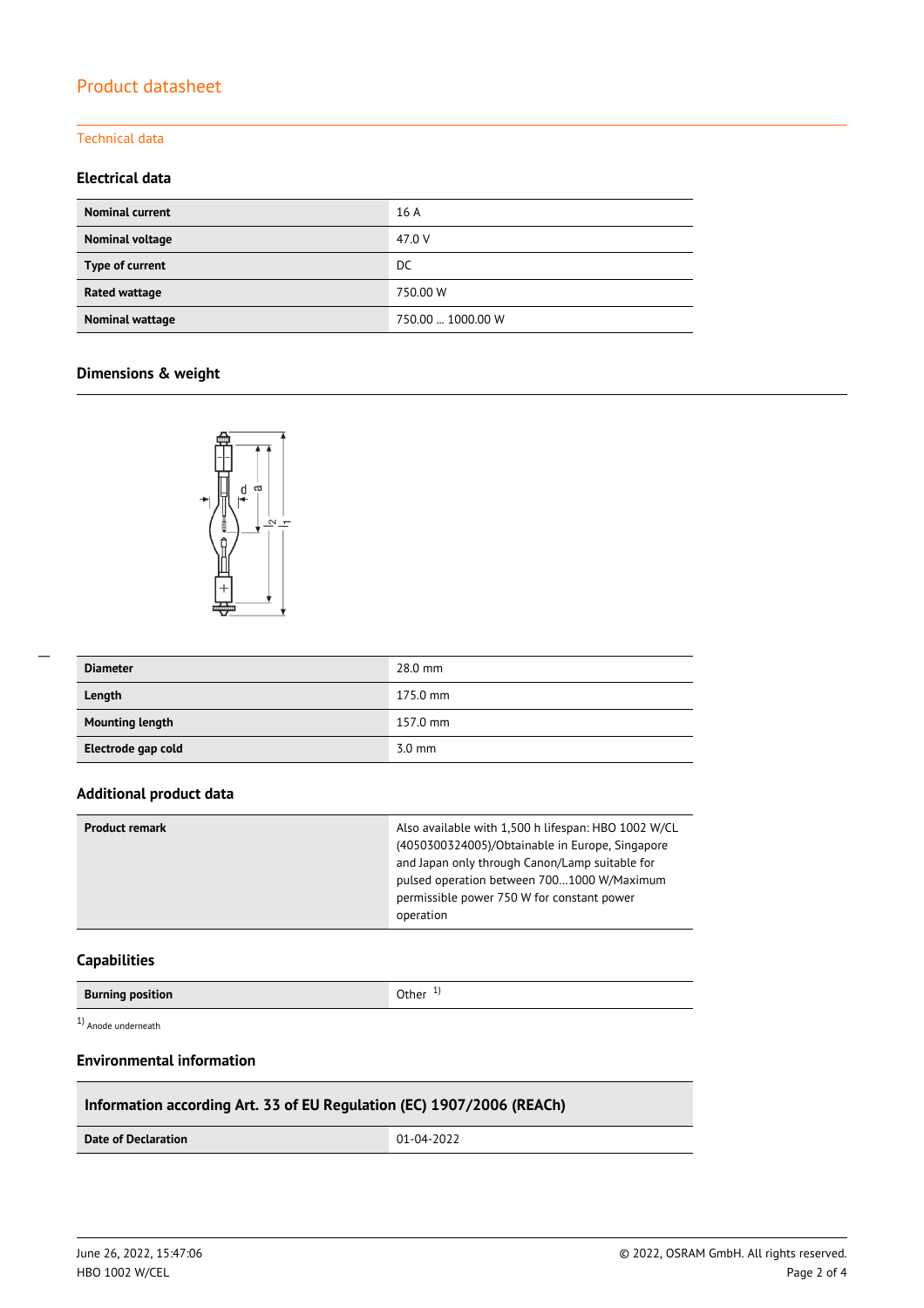# Product datasheet

#### Technical data

## **Electrical data**

| <b>Nominal current</b> | 16 A              |
|------------------------|-------------------|
| Nominal voltage        | 47.0 V            |
| Type of current        | DC                |
| Rated wattage          | 750.00 W          |
| Nominal wattage        | 750.00  1000.00 W |

## **Dimensions & weight**



| <b>Diameter</b>        | 28.0 mm          |
|------------------------|------------------|
| Length                 | 175.0 mm         |
| <b>Mounting length</b> | 157.0 mm         |
| Electrode gap cold     | $3.0 \text{ mm}$ |

#### **Additional product data**

| <b>Product remark</b> | Also available with 1,500 h lifespan: HBO 1002 W/CL<br>(4050300324005)/Obtainable in Europe, Singapore<br>and Japan only through Canon/Lamp suitable for<br>pulsed operation between 7001000 W/Maximum<br>permissible power 750 W for constant power<br>operation |
|-----------------------|-------------------------------------------------------------------------------------------------------------------------------------------------------------------------------------------------------------------------------------------------------------------|
|                       |                                                                                                                                                                                                                                                                   |

## **Capabilities**

1) Anode underneath

## **Environmental information**

## **Information according Art. 33 of EU Regulation (EC) 1907/2006 (REACh)**

**Date of Declaration** 01-04-2022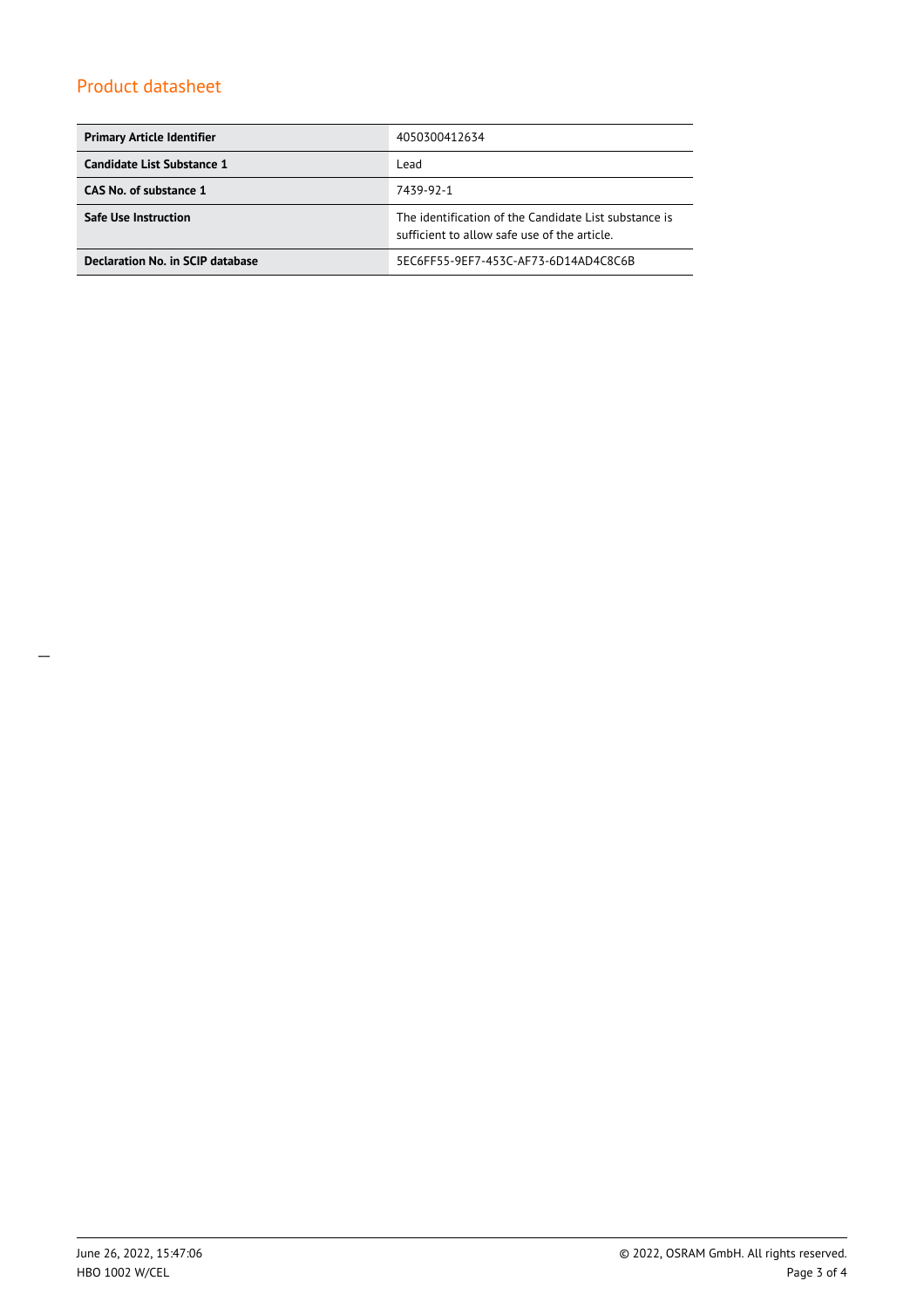# Product datasheet

| <b>Primary Article Identifier</b> | 4050300412634                                                                                         |
|-----------------------------------|-------------------------------------------------------------------------------------------------------|
| Candidate List Substance 1        | Lead                                                                                                  |
| CAS No. of substance 1            | 7439-92-1                                                                                             |
| <b>Safe Use Instruction</b>       | The identification of the Candidate List substance is<br>sufficient to allow safe use of the article. |
| Declaration No. in SCIP database  | 5EC6FF55-9EF7-453C-AF73-6D14AD4C8C6B                                                                  |

\_\_